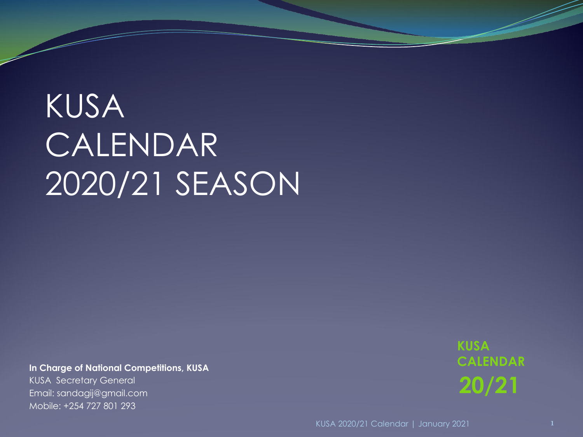#### KUSA CALENDAR 2020/21 SEASON

**In Charge of National Competitions, KUSA** KUSA Secretary General Email: sandagij@gmail.com Mobile: +254 727 801 293

**20/21 KUSA CALENDAR**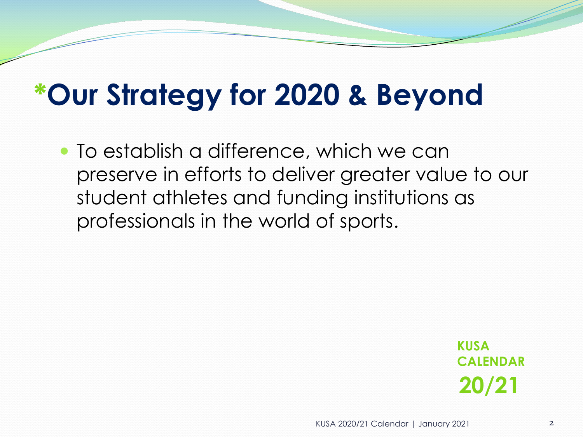#### **\*Our Strategy for 2020 & Beyond**

 To establish a difference, which we can preserve in efforts to deliver greater value to our student athletes and funding institutions as professionals in the world of sports.

> **20/21 KUSA CALENDAR**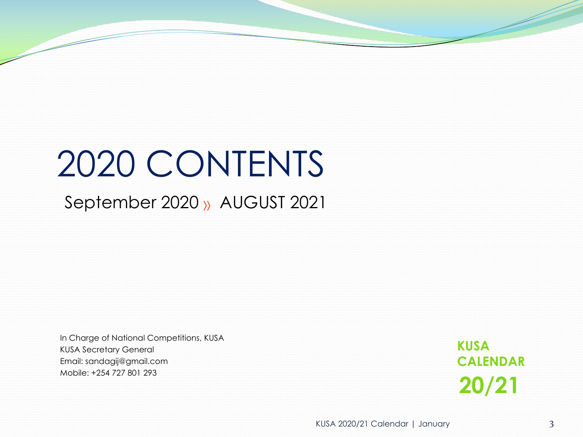#### 2020 CONTENTS

September 2020 » AUGUST 2021

In Charge of National Competitions, KUSA KUSA Secretary General Email: sandagij@gmail.com Mobile: +254 727 801 293

**20/21 KUSA CALENDAR**

KUSA 2020/21 Calendar | January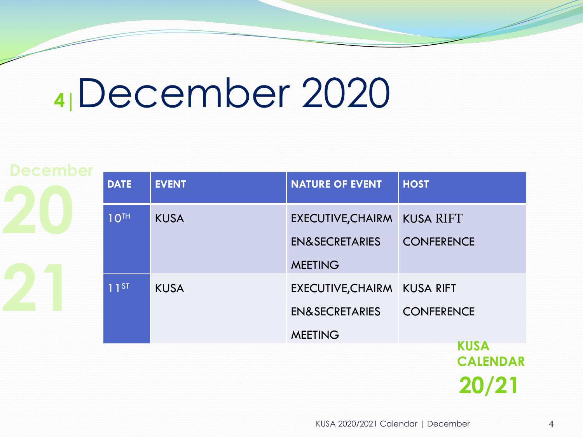#### **4|**December 2020

|  | <b>DATE</b>      | <b>EVENT</b> | <b>NATURE OF EVENT</b>      | <b>HOST</b>       |  |  |
|--|------------------|--------------|-----------------------------|-------------------|--|--|
|  | 10 <sup>TH</sup> | <b>KUSA</b>  | EXECUTIVE, CHAIRM KUSA RIFT |                   |  |  |
|  |                  |              | <b>EN&amp;SECRETARIES</b>   | <b>CONFERENCE</b> |  |  |
|  |                  |              | <b>MEETING</b>              |                   |  |  |
|  | $11^{ST}$        | <b>KUSA</b>  | EXECUTIVE, CHAIRM KUSA RIFT |                   |  |  |
|  |                  |              | <b>EN&amp;SECRETARIES</b>   | <b>CONFERENCE</b> |  |  |
|  |                  |              | <b>MEETING</b>              |                   |  |  |
|  |                  |              |                             | <b>KUSA</b>       |  |  |
|  |                  |              |                             | <b>CALENDAR</b>   |  |  |

KUSA 2020/2021 Calendar | December

**20/21**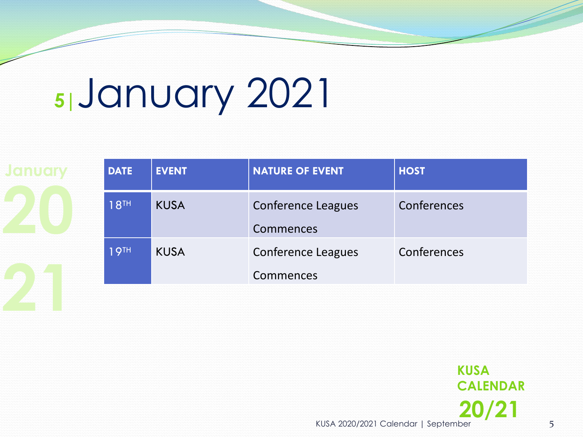# **5|**January 2021

| <b>DATE</b>      | <b>EVENT</b> | <b>NATURE OF EVENT</b>                 | <b>HOST</b> |  |
|------------------|--------------|----------------------------------------|-------------|--|
| 18 <sup>TH</sup> | <b>KUSA</b>  | <b>Conference Leagues</b><br>Commences | Conferences |  |
| 19 <sup>TH</sup> | <b>KUSA</b>  | <b>Conference Leagues</b><br>Commences | Conferences |  |
|                  |              |                                        |             |  |

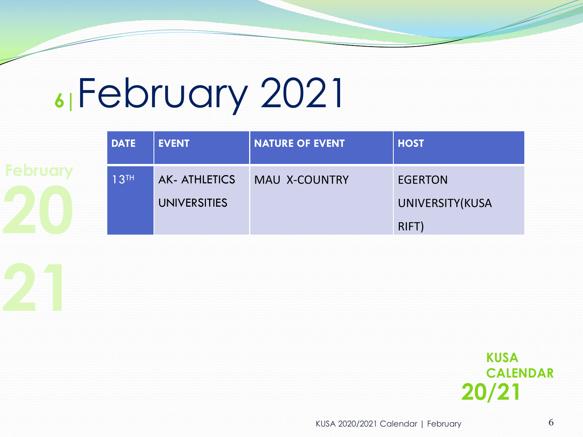#### **6|**February 2021

| <b>DATE</b>      | <b>EVENT</b>                               | NATURE OF EVENT | <b>HOST</b>                                |
|------------------|--------------------------------------------|-----------------|--------------------------------------------|
| 13 <sup>TH</sup> | <b>AK-ATHLETICS</b><br><b>UNIVERSITIES</b> | MAU X-COUNTRY   | <b>EGERTON</b><br>UNIVERSITY(KUSA<br>RIFT) |

**20/21 KUSA CALENDAR**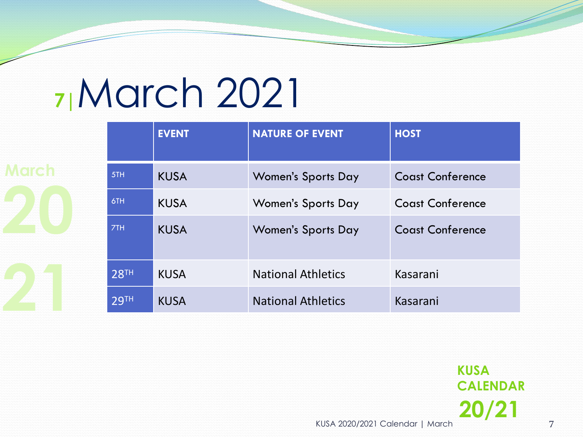#### **7|**March 2021

**20 212 RTH KUSA National Athletics Kasarani**<br>29TH KUSA National Athletics Kasarani **March**  $\overline{\phantom{aa}}$   $\overline{\phantom{aa}}$   $\overline{\phantom{aa}}$   $\overline{\phantom{aa}}$   $\overline{\phantom{aa}}$   $\overline{\phantom{aa}}$   $\overline{\phantom{aa}}$   $\overline{\phantom{aa}}$   $\overline{\phantom{aa}}$   $\overline{\phantom{aa}}$   $\overline{\phantom{aa}}$   $\overline{\phantom{aa}}$   $\overline{\phantom{aa}}$   $\overline{\phantom{aa}}$   $\overline{\phantom{aa}}$   $\overline{\phantom{aa}}$   $\overline{\phantom{aa}}$   $\overline{\phantom{aa}}$ **EVENT NATURE OF EVENT HOST** Women's Sports Day Coast Conference 6TH KUSA Women's Sports Day Coast Conference 7TH KUSA Women's Sports Day Coast Conference 28TH KUSA National Athletics Kasarani 29TH KUSA National Athletics Kasarani

> KUSA 2020/2021 Calendar | March **20/21 KUSA CALENDAR**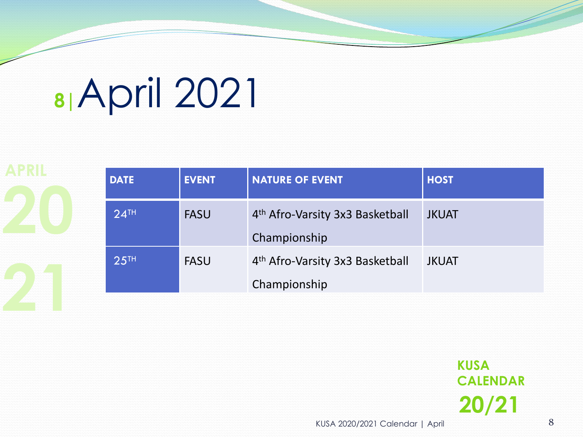### **8|**April 2021

EXECUTE ASU TEASU 4<sup>th</sup> Afro-Varsity 3x3 Basketball JKUAT<br>Championship PASU 4<sup>th</sup> Alfo-Varsity 3x3 Basketball JKUAI<br>Championship **EVENT DATE EVENT NATURE OF EVENT HOST** 24<sup>TH</sup> FASU 4<sup>th</sup> Afro-Varsity 3x3 Basketball Championship JKUAT 25<sup>TH</sup> FASU 4<sup>th</sup> Afro-Varsity 3x3 Basketball Championship JKUAT

> **20/21 KUSA CALENDAR**

KUSA 2020/2021 Calendar | April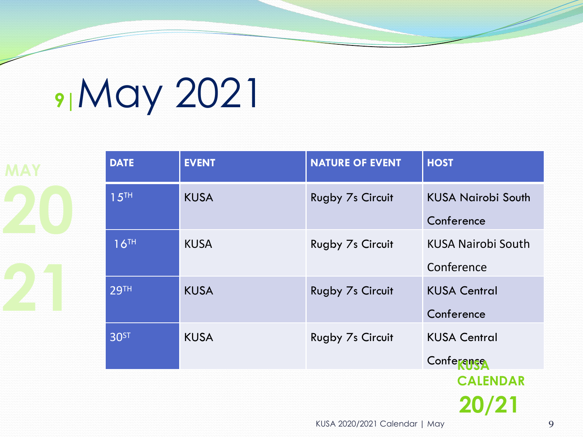# **9|**May 2021

| <b>MAY</b> | <b>DATE</b>      | <b>EVENT</b> | <b>NATURE OF EVENT</b>  | <b>HOST</b>                             |
|------------|------------------|--------------|-------------------------|-----------------------------------------|
|            | 15 <sup>TH</sup> | <b>KUSA</b>  | Rugby 7s Circuit        | <b>KUSA Nairobi South</b><br>Conference |
|            | 16 <sup>TH</sup> | <b>KUSA</b>  | Rugby 7s Circuit        | <b>KUSA Nairobi South</b><br>Conference |
|            | <b>29TH</b>      | <b>KUSA</b>  | <b>Rugby 7s Circuit</b> | <b>KUSA Central</b><br>Conference       |
|            | <b>30ST</b>      | <b>KUSA</b>  | Rugby 7s Circuit        | <b>KUSA Central</b><br>Conference       |
|            |                  |              |                         | <b>CALENDAR</b>                         |
|            |                  |              |                         | $20/2^{1}$                              |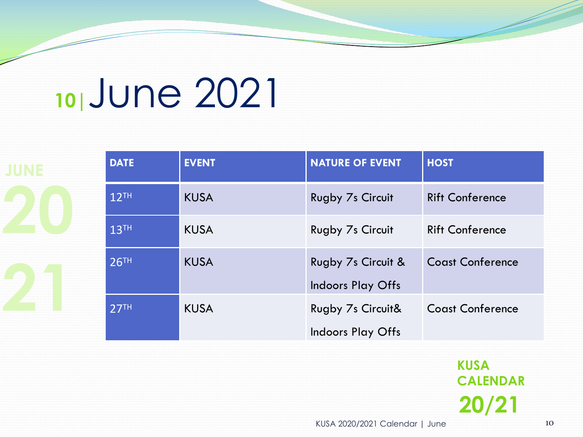#### **10|**June 2021

|  | <b>DATE</b>      | <b>EVENT</b> | <b>NATURE OF EVENT</b>       | <b>HOST</b>             |
|--|------------------|--------------|------------------------------|-------------------------|
|  | 12 <sup>TH</sup> | <b>KUSA</b>  | Rugby 7s Circuit             | <b>Rift Conference</b>  |
|  | 13 <sup>TH</sup> | <b>KUSA</b>  | Rugby 7s Circuit             | <b>Rift Conference</b>  |
|  | 26 <sup>TH</sup> | <b>KUSA</b>  | Rugby 7s Circuit &           | <b>Coast Conference</b> |
|  |                  |              | <b>Indoors Play Offs</b>     |                         |
|  | 27 <sup>TH</sup> | <b>KUSA</b>  | <b>Rugby 7s Circuit&amp;</b> | <b>Coast Conference</b> |
|  |                  |              | <b>Indoors Play Offs</b>     |                         |

**20/21 KUSA CALENDAR**

KUSA 2020/2021 Calendar | June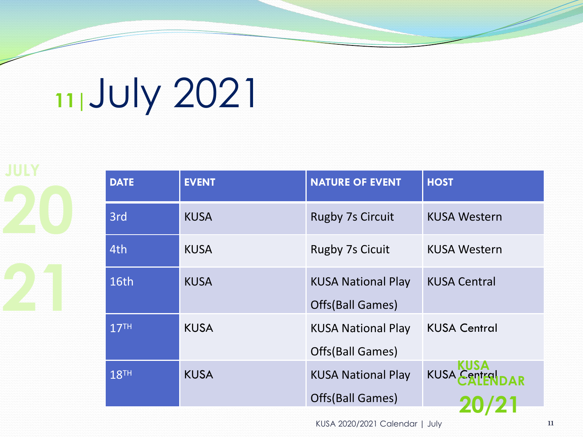# **11|**July 2021

**JULY**

| <b>DATE</b>      | <b>EVENT</b> | <b>NATURE OF EVENT</b>                        |                     |                                |
|------------------|--------------|-----------------------------------------------|---------------------|--------------------------------|
| 3rd              | <b>KUSA</b>  | <b>Rugby 7s Circuit</b>                       | <b>KUSA Western</b> |                                |
| 4th              | <b>KUSA</b>  | <b>Rugby 7s Cicuit</b>                        | <b>KUSA Western</b> |                                |
| <b>16th</b>      | <b>KUSA</b>  | <b>KUSA National Play</b><br>Offs(Ball Games) | <b>KUSA Central</b> |                                |
| 17 <sup>TH</sup> | <b>KUSA</b>  | <b>KUSA National Play</b><br>Offs(Ball Games) | <b>KUSA Central</b> |                                |
| 18 <sup>TH</sup> | <b>KUSA</b>  | <b>KUSA National Play</b><br>Offs(Ball Games) |                     |                                |
|                  |              |                                               |                     | <b>HOST</b><br>KUSA CANTER DAR |

KUSA 2020/2021 Calendar | July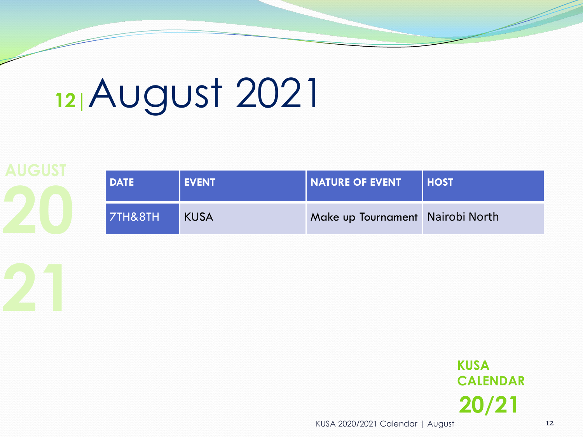# **12|**August 2021

**2008 THE READER WATER OF EVENT NOST**<br> **2008 THE READER WATER OF EVENT NOST AUGUST** DATE EVENT **DATE EVENT NATURE OF EVENT HOST** 7TH&8TH KUSA Make up Tournament Nairobi North

> **20/21 KUSA CALENDAR**

KUSA 2020/2021 Calendar | August